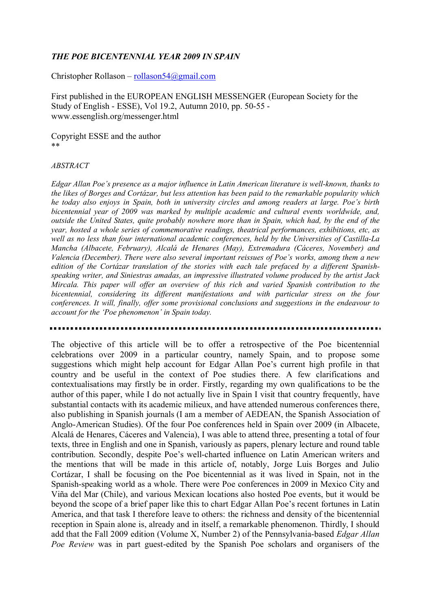## *THE POE BICENTENNIAL YEAR 2009 IN SPAIN*

Christopher Rollason – [rollason54@gmail.com](mailto:rollason54@gmail.com)

First published in the EUROPEAN ENGLISH MESSENGER (European Society for the Study of English - ESSE), Vol 19.2, Autumn 2010, pp. 50-55 www.essenglish.org/messenger.html

Copyright ESSE and the author \*\*

## *ABSTRACT*

*Edgar Allan Poe's presence as a major influence in Latin American literature is well-known, thanks to the likes of Borges and Cortázar, but less attention has been paid to the remarkable popularity which he today also enjoys in Spain, both in university circles and among readers at large. Poe's birth bicentennial year of 2009 was marked by multiple academic and cultural events worldwide, and, outside the United States, quite probably nowhere more than in Spain, which had, by the end of the year, hosted a whole series of commemorative readings, theatrical performances, exhibitions, etc, as well as no less than four international academic conferences, held by the Universities of Castilla-La Mancha (Albacete, February), Alcalá de Henares (May), Extremadura (Cáceres, November) and Valencia (December). There were also several important reissues of Poe's works, among them a new edition of the Cortázar translation of the stories with each tale prefaced by a different Spanishspeaking writer, and Siniestras amadas, an impressive illustrated volume produced by the artist Jack Mircala. This paper will offer an overview of this rich and varied Spanish contribution to the bicentennial, considering its different manifestations and with particular stress on the four conferences. It will, finally, offer some provisional conclusions and suggestions in the endeavour to account for the 'Poe phenomenon' in Spain today.* 

The objective of this article will be to offer a retrospective of the Poe bicentennial celebrations over 2009 in a particular country, namely Spain, and to propose some suggestions which might help account for Edgar Allan Poe's current high profile in that country and be useful in the context of Poe studies there. A few clarifications and contextualisations may firstly be in order. Firstly, regarding my own qualifications to be the author of this paper, while I do not actually live in Spain I visit that country frequently, have substantial contacts with its academic milieux, and have attended numerous conferences there, also publishing in Spanish journals (I am a member of AEDEAN, the Spanish Association of Anglo-American Studies). Of the four Poe conferences held in Spain over 2009 (in Albacete, Alcalá de Henares, Cáceres and Valencia), I was able to attend three, presenting a total of four texts, three in English and one in Spanish, variously as papers, plenary lecture and round table contribution. Secondly, despite Poe's well-charted influence on Latin American writers and the mentions that will be made in this article of, notably, Jorge Luis Borges and Julio Cortázar, I shall be focusing on the Poe bicentennial as it was lived in Spain, not in the Spanish-speaking world as a whole. There were Poe conferences in 2009 in Mexico City and Viña del Mar (Chile), and various Mexican locations also hosted Poe events, but it would be beyond the scope of a brief paper like this to chart Edgar Allan Poe's recent fortunes in Latin America, and that task I therefore leave to others: the richness and density of the bicentennial reception in Spain alone is, already and in itself, a remarkable phenomenon. Thirdly, I should add that the Fall 2009 edition (Volume X, Number 2) of the Pennsylvania-based *Edgar Allan Poe Review* was in part guest-edited by the Spanish Poe scholars and organisers of the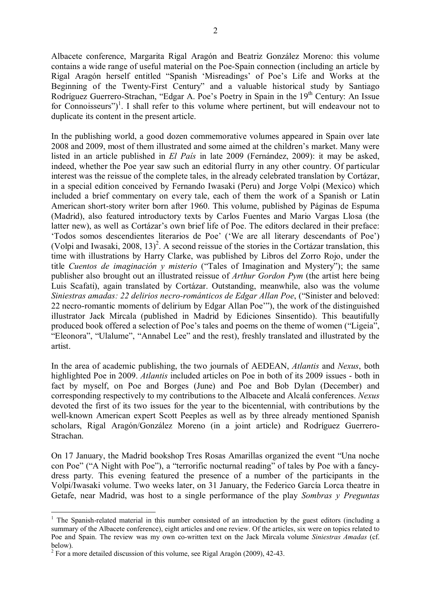Albacete conference, Margarita Rigal Aragón and Beatriz González Moreno: this volume contains a wide range of useful material on the Poe-Spain connection (including an article by Rigal Aragón herself entitled "Spanish 'Misreadings' of Poe's Life and Works at the Beginning of the Twenty-First Century" and a valuable historical study by Santiago Rodríguez Guerrero-Strachan, "Edgar A. Poe's Poetry in Spain in the 19<sup>th</sup> Century: An Issue for Connoisseurs")<sup>[1](#page-1-0)</sup>. I shall refer to this volume where pertinent, but will endeavour not to duplicate its content in the present article.

In the publishing world, a good dozen commemorative volumes appeared in Spain over late 2008 and 2009, most of them illustrated and some aimed at the children's market. Many were listed in an article published in *El País* in late 2009 (Fernández, 2009): it may be asked, indeed, whether the Poe year saw such an editorial flurry in any other country. Of particular interest was the reissue of the complete tales, in the already celebrated translation by Cortázar, in a special edition conceived by Fernando Iwasaki (Peru) and Jorge Volpi (Mexico) which included a brief commentary on every tale, each of them the work of a Spanish or Latin American short-story writer born after 1960. This volume, published by Páginas de Espuma (Madrid), also featured introductory texts by Carlos Fuentes and Mario Vargas Llosa (the latter new), as well as Cortázar's own brief life of Poe. The editors declared in their preface: 'Todos somos descendientes literarios de Poe' ('We are all literary descendants of Poe') (Volpi and Iwasaki, [2](#page-1-1)008, 13)<sup>2</sup>. A second reissue of the stories in the Cortázar translation, this time with illustrations by Harry Clarke, was published by Libros del Zorro Rojo, under the title *Cuentos de imaginación y misterio* ("Tales of Imagination and Mystery"); the same publisher also brought out an illustrated reissue of *Arthur Gordon Pym* (the artist here being Luis Scafati), again translated by Cortázar. Outstanding, meanwhile, also was the volume *Siniestras amadas: 22 delirios necro-románticos de Edgar Allan Poe*, ("Sinister and beloved: 22 necro-romantic moments of delirium by Edgar Allan Poe'"), the work of the distinguished illustrator Jack Mircala (published in Madrid by Ediciones Sinsentido). This beautifully produced book offered a selection of Poe's tales and poems on the theme of women ("Ligeia", "Eleonora", "Ulalume", "Annabel Lee" and the rest), freshly translated and illustrated by the artist.

In the area of academic publishing, the two journals of AEDEAN, *Atlantis* and *Nexus*, both highlighted Poe in 2009. *Atlantis* included articles on Poe in both of its 2009 issues - both in fact by myself, on Poe and Borges (June) and Poe and Bob Dylan (December) and corresponding respectively to my contributions to the Albacete and Alcalá conferences. *Nexus* devoted the first of its two issues for the year to the bicentennial, with contributions by the well-known American expert Scott Peeples as well as by three already mentioned Spanish scholars, Rigal Aragón/González Moreno (in a joint article) and Rodríguez Guerrero-Strachan.

On 17 January, the Madrid bookshop Tres Rosas Amarillas organized the event "Una noche con Poe" ("A Night with Poe"), a "terrorific nocturnal reading" of tales by Poe with a fancydress party. This evening featured the presence of a number of the participants in the Volpi/Iwasaki volume. Two weeks later, on 31 January, the Federico García Lorca theatre in Getafe, near Madrid, was host to a single performance of the play *Sombras y Preguntas* 

<u>.</u>

<span id="page-1-0"></span><sup>&</sup>lt;sup>1</sup> The Spanish-related material in this number consisted of an introduction by the guest editors (including a summary of the Albacete conference), eight articles and one review. Of the articles, six were on topics related to Poe and Spain. The review was my own co-written text on the Jack Mircala volume *Siniestras Amadas* (cf. below).

<span id="page-1-1"></span> $2^2$  For a more detailed discussion of this volume, see Rigal Aragón (2009), 42-43.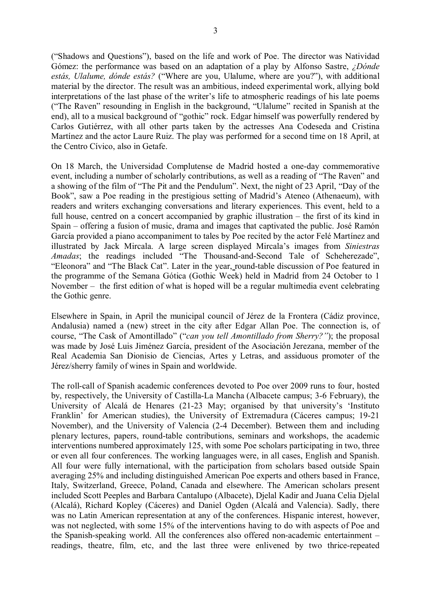("Shadows and Questions"), based on the life and work of Poe. The director was Natividad Gómez: the performance was based on an adaptation of a play by Alfonso Sastre, *¿Dónde estás, Ulalume, dónde estás?* ("Where are you, Ulalume, where are you?"), with additional material by the director. The result was an ambitious, indeed experimental work, allying bold interpretations of the last phase of the writer's life to atmospheric readings of his late poems ("The Raven" resounding in English in the background, "Ulalume" recited in Spanish at the end), all to a musical background of "gothic" rock. Edgar himself was powerfully rendered by Carlos Gutiérrez, with all other parts taken by the actresses Ana Codeseda and Cristina Martínez and the actor Laure Ruiz. The play was performed for a second time on 18 April, at the Centro Cívico, also in Getafe.

On 18 March, the Universidad Complutense de Madrid hosted a one-day commemorative event, including a number of scholarly contributions, as well as a reading of "The Raven" and a showing of the film of "The Pit and the Pendulum". Next, the night of 23 April, "Day of the Book", saw a Poe reading in the prestigious setting of Madrid's Ateneo (Athenaeum), with readers and writers exchanging conversations and literary experiences. This event, held to a full house, centred on a concert accompanied by graphic illustration – the first of its kind in Spain – offering a fusion of music, drama and images that captivated the public. José Ramón García provided a piano accompaniment to tales by Poe recited by the actor Felé Martínez and illustrated by Jack Mircala. A large screen displayed Mircala's images from *Siniestras Amadas*; the readings included "The Thousand-and-Second Tale of Scheherezade", "Eleonora" and "The Black Cat". Later in the year, round-table discussion of Poe featured in the programme of the Semana Gótica (Gothic Week) held in Madrid from 24 October to 1 November – the first edition of what is hoped will be a regular multimedia event celebrating the Gothic genre.

Elsewhere in Spain, in April the municipal council of Jérez de la Frontera (Cádiz province, Andalusia) named a (new) street in the city after Edgar Allan Poe. The connection is, of course, "The Cask of Amontillado" ("*can you tell Amontillado from Sherry?"*); the proposal was made by José Luis Jiménez García, president of the Asociación Jerezana, member of the Real Academia San Dionisio de Ciencias, Artes y Letras, and assiduous promoter of the Jérez/sherry family of wines in Spain and worldwide.

The roll-call of Spanish academic conferences devoted to Poe over 2009 runs to four, hosted by, respectively, the University of Castilla-La Mancha (Albacete campus; 3-6 February), the University of Alcalá de Henares (21-23 May; organised by that university's 'Instituto Franklin' for American studies), the University of Extremadura (Cáceres campus; 19-21 November), and the University of Valencia (2-4 December). Between them and including plenary lectures, papers, round-table contributions, seminars and workshops, the academic interventions numbered approximately 125, with some Poe scholars participating in two, three or even all four conferences. The working languages were, in all cases, English and Spanish. All four were fully international, with the participation from scholars based outside Spain averaging 25% and including distinguished American Poe experts and others based in France, Italy, Switzerland, Greece, Poland, Canada and elsewhere. The American scholars present included Scott Peeples and Barbara Cantalupo (Albacete), Djelal Kadir and Juana Celia Djelal (Alcalá), Richard Kopley (Cáceres) and Daniel Ogden (Alcalá and Valencia). Sadly, there was no Latin American representation at any of the conferences. Hispanic interest, however, was not neglected, with some 15% of the interventions having to do with aspects of Poe and the Spanish-speaking world. All the conferences also offered non-academic entertainment – readings, theatre, film, etc, and the last three were enlivened by two thrice-repeated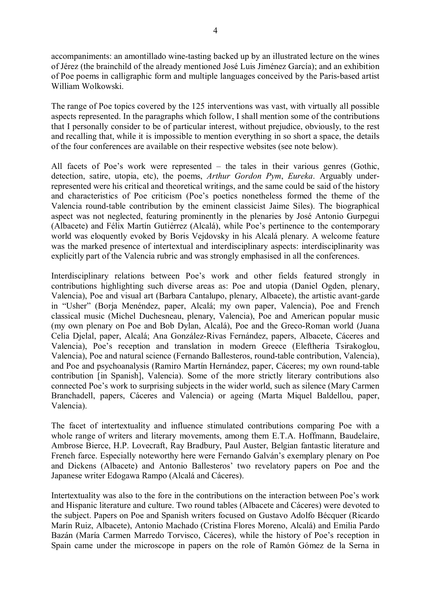accompaniments: an amontillado wine-tasting backed up by an illustrated lecture on the wines of Jérez (the brainchild of the already mentioned José Luis Jiménez García); and an exhibition of Poe poems in calligraphic form and multiple languages conceived by the Paris-based artist William Wolkowski.

The range of Poe topics covered by the 125 interventions was vast, with virtually all possible aspects represented. In the paragraphs which follow, I shall mention some of the contributions that I personally consider to be of particular interest, without prejudice, obviously, to the rest and recalling that, while it is impossible to mention everything in so short a space, the details of the four conferences are available on their respective websites (see note below).

All facets of Poe's work were represented – the tales in their various genres (Gothic, detection, satire, utopia, etc), the poems, *Arthur Gordon Pym*, *Eureka*. Arguably underrepresented were his critical and theoretical writings, and the same could be said of the history and characteristics of Poe criticism (Poe's poetics nonetheless formed the theme of the Valencia round-table contribution by the eminent classicist Jaime Siles). The biographical aspect was not neglected, featuring prominently in the plenaries by José Antonio Gurpegui (Albacete) and Félix Martín Gutiérrez (Alcalá), while Poe's pertinence to the contemporary world was eloquently evoked by Boris Vejdovsky in his Alcalá plenary. A welcome feature was the marked presence of intertextual and interdisciplinary aspects: interdisciplinarity was explicitly part of the Valencia rubric and was strongly emphasised in all the conferences.

Interdisciplinary relations between Poe's work and other fields featured strongly in contributions highlighting such diverse areas as: Poe and utopia (Daniel Ogden, plenary, Valencia), Poe and visual art (Barbara Cantalupo, plenary, Albacete), the artistic avant-garde in "Usher" (Borja Menéndez, paper, Alcalá; my own paper, Valencia), Poe and French classical music (Michel Duchesneau, plenary, Valencia), Poe and American popular music (my own plenary on Poe and Bob Dylan, Alcalá), Poe and the Greco-Roman world (Juana Celia Djelal, paper, Alcalá; Ana González-Rivas Fernández, papers, Albacete, Cáceres and Valencia), Poe's reception and translation in modern Greece (Eleftheria Tsirakoglou, Valencia), Poe and natural science (Fernando Ballesteros, round-table contribution, Valencia), and Poe and psychoanalysis (Ramiro Martín Hernández, paper, Cáceres; my own round-table contribution [in Spanish], Valencia). Some of the more strictly literary contributions also connected Poe's work to surprising subjects in the wider world, such as silence (Mary Carmen Branchadell, papers, Cáceres and Valencia) or ageing (Marta Miquel Baldellou, paper, Valencia).

The facet of intertextuality and influence stimulated contributions comparing Poe with a whole range of writers and literary movements, among them E.T.A. Hoffmann, Baudelaire, Ambrose Bierce, H.P. Lovecraft, Ray Bradbury, Paul Auster, Belgian fantastic literature and French farce. Especially noteworthy here were Fernando Galván's exemplary plenary on Poe and Dickens (Albacete) and Antonio Ballesteros' two revelatory papers on Poe and the Japanese writer Edogawa Rampo (Alcalá and Cáceres).

Intertextuality was also to the fore in the contributions on the interaction between Poe's work and Hispanic literature and culture. Two round tables (Albacete and Cáceres) were devoted to the subject. Papers on Poe and Spanish writers focused on Gustavo Adolfo Bécquer (Ricardo Marín Ruiz, Albacete), Antonio Machado (Cristina Flores Moreno, Alcalá) and Emilia Pardo Bazán (María Carmen Marredo Torvisco, Cáceres), while the history of Poe's reception in Spain came under the microscope in papers on the role of Ramón Gómez de la Serna in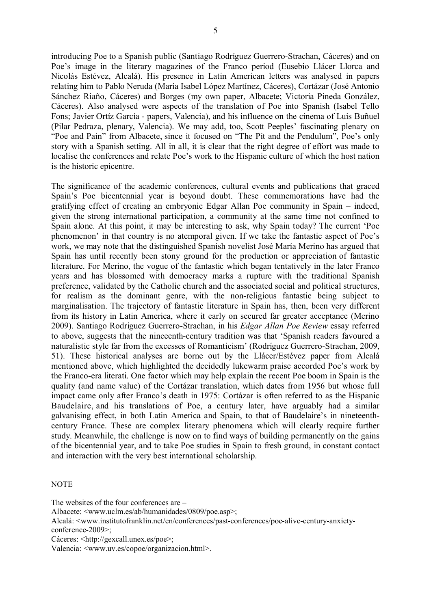introducing Poe to a Spanish public (Santiago Rodríguez Guerrero-Strachan, Cáceres) and on Poe's image in the literary magazines of the Franco period (Eusebio Llácer Llorca and Nicolás Estévez, Alcalá). His presence in Latin American letters was analysed in papers relating him to Pablo Neruda (María Isabel López Martínez, Cáceres), Cortázar (José Antonio Sánchez Riaño, Cáceres) and Borges (my own paper, Albacete; Victoria Pineda González, Cáceres). Also analysed were aspects of the translation of Poe into Spanish (Isabel Tello Fons; Javier Ortíz García - papers, Valencia), and his influence on the cinema of Luis Buñuel (Pilar Pedraza, plenary, Valencia). We may add, too, Scott Peeples' fascinating plenary on "Poe and Pain" from Albacete, since it focused on "The Pit and the Pendulum", Poe's only story with a Spanish setting. All in all, it is clear that the right degree of effort was made to localise the conferences and relate Poe's work to the Hispanic culture of which the host nation is the historic epicentre.

The significance of the academic conferences, cultural events and publications that graced Spain's Poe bicentennial year is beyond doubt. These commemorations have had the gratifying effect of creating an embryonic Edgar Allan Poe community in Spain – indeed, given the strong international participation, a community at the same time not confined to Spain alone. At this point, it may be interesting to ask, why Spain today? The current 'Poe phenomenon' in that country is no atemporal given. If we take the fantastic aspect of Poe's work, we may note that the distinguished Spanish novelist José María Merino has argued that Spain has until recently been stony ground for the production or appreciation of fantastic literature. For Merino, the vogue of the fantastic which began tentatively in the later Franco years and has blossomed with democracy marks a rupture with the traditional Spanish preference, validated by the Catholic church and the associated social and political structures, for realism as the dominant genre, with the non-religious fantastic being subject to marginalisation. The trajectory of fantastic literature in Spain has, then, been very different from its history in Latin America, where it early on secured far greater acceptance (Merino 2009). Santiago Rodriguez Guerrero-Strachan, in his *Edgar Allan Poe Review* essay referred to above, suggests that the nineeenth-century tradition was that 'Spanish readers favoured a naturalistic style far from the excesses of Romanticism' (Rodríguez Guerrero-Strachan, 2009, 51). These historical analyses are borne out by the Llácer/Estévez paper from Alcalá mentioned above, which highlighted the decidedly lukewarm praise accorded Poe's work by the Franco-era literati. One factor which may help explain the recent Poe boom in Spain is the quality (and name value) of the Cortázar translation, which dates from 1956 but whose full impact came only after Franco's death in 1975: Cortázar is often referred to as the Hispanic Baudelaire, and his translations of Poe, a century later, have arguably had a similar galvanising effect, in both Latin America and Spain, to that of Baudelaire's in nineteenthcentury France. These are complex literary phenomena which will clearly require further study. Meanwhile, the challenge is now on to find ways of building permanently on the gains of the bicentennial year, and to take Poe studies in Spain to fresh ground, in constant contact and interaction with the very best international scholarship.

## **NOTE**

The websites of the four conferences are –

Albacete: [<www.uclm.es/ab/humanidades/0809/poe.asp>](http://www.uclm.es/ab/humanidades/0809/poe.asp);

Alcalá: [<www.institutofranklin.net/en/conferences/past-conferences/poe-alive-century-anxiety](http://www.institutofranklin.net/en/conferences/past-conferences/poe-alive-century-anxiety-conference-2009)[conference-2009>](http://www.institutofranklin.net/en/conferences/past-conferences/poe-alive-century-anxiety-conference-2009);

Cáceres: [<http://gexcall.unex.es/poe>](http://gexcall.unex.es/poe);

Valencia: <www.uv.es/copoe/organizacion.html>.